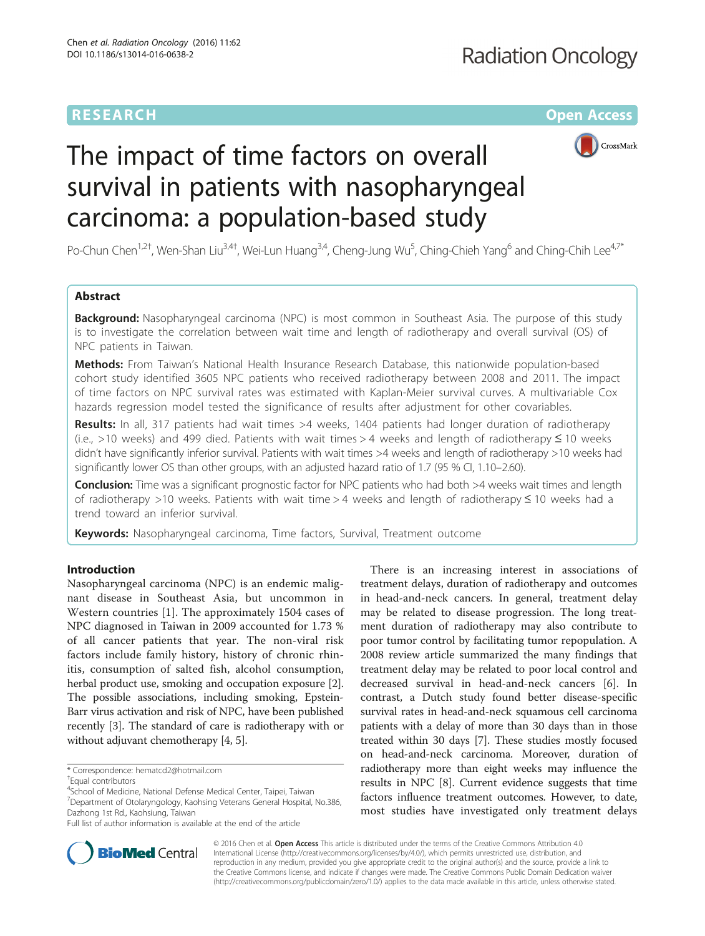# **RESEARCH CHE Open Access**



# The impact of time factors on overall survival in patients with nasopharyngeal carcinoma: a population-based study

Po-Chun Chen<sup>1,2†</sup>, Wen-Shan Liu<sup>3,4†</sup>, Wei-Lun Huang<sup>3,4</sup>, Cheng-Jung Wu<sup>5</sup>, Ching-Chieh Yang<sup>6</sup> and Ching-Chih Lee<sup>4,7\*</sup>

# Abstract

**Background:** Nasopharyngeal carcinoma (NPC) is most common in Southeast Asia. The purpose of this study is to investigate the correlation between wait time and length of radiotherapy and overall survival (OS) of NPC patients in Taiwan.

Methods: From Taiwan's National Health Insurance Research Database, this nationwide population-based cohort study identified 3605 NPC patients who received radiotherapy between 2008 and 2011. The impact of time factors on NPC survival rates was estimated with Kaplan-Meier survival curves. A multivariable Cox hazards regression model tested the significance of results after adjustment for other covariables.

Results: In all, 317 patients had wait times >4 weeks, 1404 patients had longer duration of radiotherapy (i.e., >10 weeks) and 499 died. Patients with wait times > 4 weeks and length of radiotherapy ≤ 10 weeks didn't have significantly inferior survival. Patients with wait times >4 weeks and length of radiotherapy >10 weeks had significantly lower OS than other groups, with an adjusted hazard ratio of 1.7 (95 % CI, 1.10-2.60).

Conclusion: Time was a significant prognostic factor for NPC patients who had both >4 weeks wait times and length of radiotherapy >10 weeks. Patients with wait time > 4 weeks and length of radiotherapy ≤ 10 weeks had a trend toward an inferior survival.

Keywords: Nasopharyngeal carcinoma, Time factors, Survival, Treatment outcome

# Introduction

Nasopharyngeal carcinoma (NPC) is an endemic malignant disease in Southeast Asia, but uncommon in Western countries [[1](#page-6-0)]. The approximately 1504 cases of NPC diagnosed in Taiwan in 2009 accounted for 1.73 % of all cancer patients that year. The non-viral risk factors include family history, history of chronic rhinitis, consumption of salted fish, alcohol consumption, herbal product use, smoking and occupation exposure [[2](#page-6-0)]. The possible associations, including smoking, Epstein-Barr virus activation and risk of NPC, have been published recently [\[3\]](#page-6-0). The standard of care is radiotherapy with or without adjuvant chemotherapy [[4](#page-6-0), [5](#page-6-0)].

4 School of Medicine, National Defense Medical Center, Taipei, Taiwan <sup>7</sup> Department of Otolaryngology, Kaohsing Veterans General Hospital, No.386, Dazhong 1st Rd., Kaohsiung, Taiwan

There is an increasing interest in associations of treatment delays, duration of radiotherapy and outcomes in head-and-neck cancers. In general, treatment delay may be related to disease progression. The long treatment duration of radiotherapy may also contribute to poor tumor control by facilitating tumor repopulation. A 2008 review article summarized the many findings that treatment delay may be related to poor local control and decreased survival in head-and-neck cancers [[6\]](#page-6-0). In contrast, a Dutch study found better disease-specific survival rates in head-and-neck squamous cell carcinoma patients with a delay of more than 30 days than in those treated within 30 days [\[7\]](#page-6-0). These studies mostly focused on head-and-neck carcinoma. Moreover, duration of radiotherapy more than eight weeks may influence the results in NPC [\[8](#page-6-0)]. Current evidence suggests that time factors influence treatment outcomes. However, to date, most studies have investigated only treatment delays



© 2016 Chen et al. Open Access This article is distributed under the terms of the Creative Commons Attribution 4.0 International License [\(http://creativecommons.org/licenses/by/4.0/](http://creativecommons.org/licenses/by/4.0/)), which permits unrestricted use, distribution, and reproduction in any medium, provided you give appropriate credit to the original author(s) and the source, provide a link to the Creative Commons license, and indicate if changes were made. The Creative Commons Public Domain Dedication waiver [\(http://creativecommons.org/publicdomain/zero/1.0/](http://creativecommons.org/publicdomain/zero/1.0/)) applies to the data made available in this article, unless otherwise stated.

<sup>\*</sup> Correspondence: [hematcd2@hotmail.com](mailto:hematcd2@hotmail.com) †

Equal contributors

Full list of author information is available at the end of the article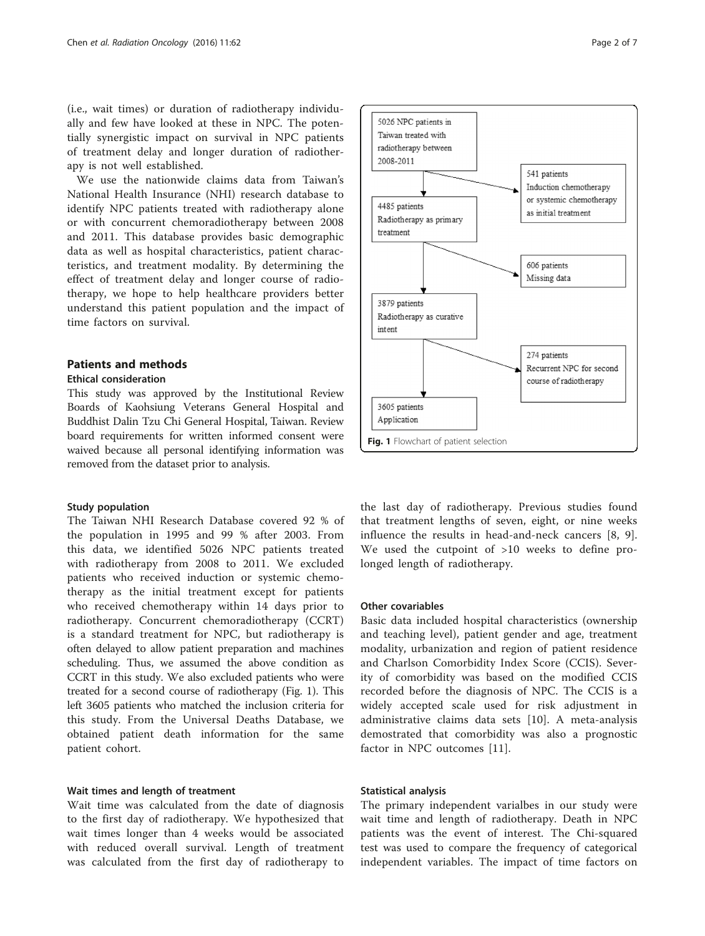(i.e., wait times) or duration of radiotherapy individually and few have looked at these in NPC. The potentially synergistic impact on survival in NPC patients of treatment delay and longer duration of radiotherapy is not well established.

We use the nationwide claims data from Taiwan's National Health Insurance (NHI) research database to identify NPC patients treated with radiotherapy alone or with concurrent chemoradiotherapy between 2008 and 2011. This database provides basic demographic data as well as hospital characteristics, patient characteristics, and treatment modality. By determining the effect of treatment delay and longer course of radiotherapy, we hope to help healthcare providers better understand this patient population and the impact of time factors on survival.

# Patients and methods

## Ethical consideration

This study was approved by the Institutional Review Boards of Kaohsiung Veterans General Hospital and Buddhist Dalin Tzu Chi General Hospital, Taiwan. Review board requirements for written informed consent were waived because all personal identifying information was removed from the dataset prior to analysis.

## Study population

The Taiwan NHI Research Database covered 92 % of the population in 1995 and 99 % after 2003. From this data, we identified 5026 NPC patients treated with radiotherapy from 2008 to 2011. We excluded patients who received induction or systemic chemotherapy as the initial treatment except for patients who received chemotherapy within 14 days prior to radiotherapy. Concurrent chemoradiotherapy (CCRT) is a standard treatment for NPC, but radiotherapy is often delayed to allow patient preparation and machines scheduling. Thus, we assumed the above condition as CCRT in this study. We also excluded patients who were treated for a second course of radiotherapy (Fig. 1). This left 3605 patients who matched the inclusion criteria for this study. From the Universal Deaths Database, we obtained patient death information for the same patient cohort.

# Wait times and length of treatment

Wait time was calculated from the date of diagnosis to the first day of radiotherapy. We hypothesized that wait times longer than 4 weeks would be associated with reduced overall survival. Length of treatment was calculated from the first day of radiotherapy to



the last day of radiotherapy. Previous studies found that treatment lengths of seven, eight, or nine weeks influence the results in head-and-neck cancers [\[8](#page-6-0), [9](#page-6-0)]. We used the cutpoint of >10 weeks to define prolonged length of radiotherapy.

# Other covariables

Basic data included hospital characteristics (ownership and teaching level), patient gender and age, treatment modality, urbanization and region of patient residence and Charlson Comorbidity Index Score (CCIS). Severity of comorbidity was based on the modified CCIS recorded before the diagnosis of NPC. The CCIS is a widely accepted scale used for risk adjustment in administrative claims data sets [[10\]](#page-6-0). A meta-analysis demostrated that comorbidity was also a prognostic factor in NPC outcomes [\[11](#page-6-0)].

# Statistical analysis

The primary independent varialbes in our study were wait time and length of radiotherapy. Death in NPC patients was the event of interest. The Chi-squared test was used to compare the frequency of categorical independent variables. The impact of time factors on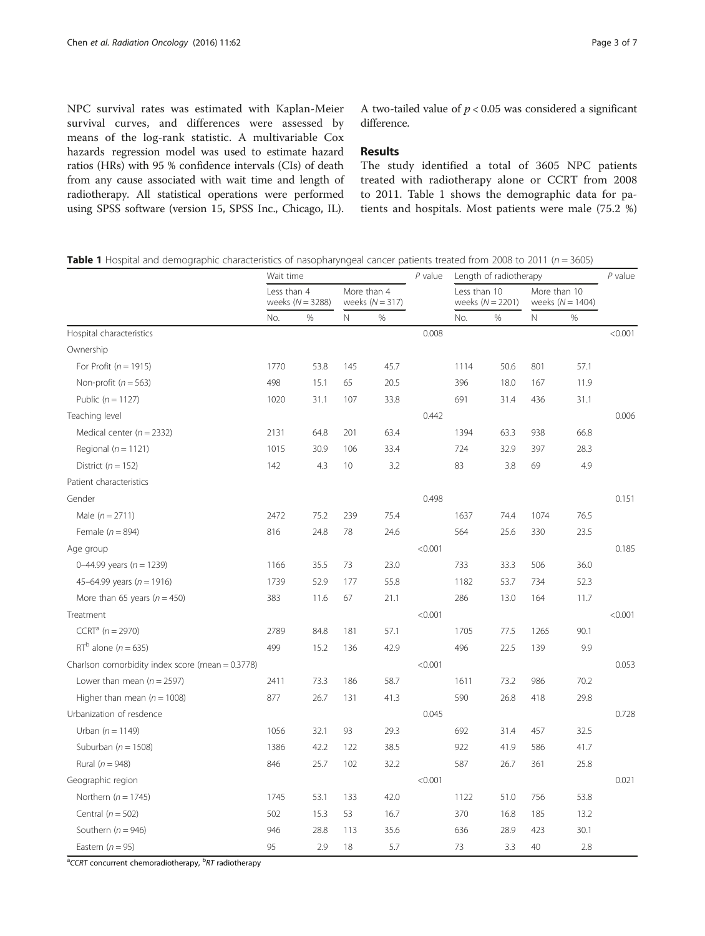NPC survival rates was estimated with Kaplan-Meier survival curves, and differences were assessed by means of the log-rank statistic. A multivariable Cox hazards regression model was used to estimate hazard ratios (HRs) with 95 % confidence intervals (CIs) of death from any cause associated with wait time and length of radiotherapy. All statistical operations were performed using SPSS software (version 15, SPSS Inc., Chicago, IL).

A two-tailed value of  $p < 0.05$  was considered a significant difference.

# Results

The study identified a total of 3605 NPC patients treated with radiotherapy alone or CCRT from 2008 to 2011. Table 1 shows the demographic data for patients and hospitals. Most patients were male (75.2 %)

**Table 1** Hospital and demographic characteristics of nasopharyngeal cancer patients treated from 2008 to 2011 ( $n = 3605$ )

|                                                  | Wait time   |                    |                 |                                  | $P$ value<br>Length of radiotherapy |              |                    | $P$ value                          |      |         |
|--------------------------------------------------|-------------|--------------------|-----------------|----------------------------------|-------------------------------------|--------------|--------------------|------------------------------------|------|---------|
|                                                  | Less than 4 | weeks $(N = 3288)$ |                 | More than 4<br>weeks $(N = 317)$ |                                     | Less than 10 | weeks $(N = 2201)$ | More than 10<br>weeks $(N = 1404)$ |      |         |
|                                                  | No.         | %                  | Ν               | %                                |                                     | No.          | $\%$               | N                                  | %    |         |
| Hospital characteristics                         |             |                    |                 |                                  | 0.008                               |              |                    |                                    |      | < 0.001 |
| Ownership                                        |             |                    |                 |                                  |                                     |              |                    |                                    |      |         |
| For Profit ( $n = 1915$ )                        | 1770        | 53.8               | 145             | 45.7                             |                                     | 1114         | 50.6               | 801                                | 57.1 |         |
| Non-profit ( $n = 563$ )                         | 498         | 15.1               | 65              | 20.5                             |                                     | 396          | 18.0               | 167                                | 11.9 |         |
| Public ( $n = 1127$ )                            | 1020        | 31.1               | 107             | 33.8                             |                                     | 691          | 31.4               | 436                                | 31.1 |         |
| Teaching level                                   |             |                    |                 |                                  | 0.442                               |              |                    |                                    |      | 0.006   |
| Medical center ( $n = 2332$ )                    | 2131        | 64.8               | 201             | 63.4                             |                                     | 1394         | 63.3               | 938                                | 66.8 |         |
| Regional ( $n = 1121$ )                          | 1015        | 30.9               | 106             | 33.4                             |                                     | 724          | 32.9               | 397                                | 28.3 |         |
| District ( $n = 152$ )                           | 142         | 4.3                | 10 <sup>°</sup> | 3.2                              |                                     | 83           | 3.8                | 69                                 | 4.9  |         |
| Patient characteristics                          |             |                    |                 |                                  |                                     |              |                    |                                    |      |         |
| Gender                                           |             |                    |                 |                                  | 0.498                               |              |                    |                                    |      | 0.151   |
| Male $(n = 2711)$                                | 2472        | 75.2               | 239             | 75.4                             |                                     | 1637         | 74.4               | 1074                               | 76.5 |         |
| Female $(n = 894)$                               | 816         | 24.8               | 78              | 24.6                             |                                     | 564          | 25.6               | 330                                | 23.5 |         |
| Age group                                        |             |                    |                 |                                  | < 0.001                             |              |                    |                                    |      | 0.185   |
| 0-44.99 years ( $n = 1239$ )                     | 1166        | 35.5               | 73              | 23.0                             |                                     | 733          | 33.3               | 506                                | 36.0 |         |
| 45-64.99 years ( $n = 1916$ )                    | 1739        | 52.9               | 177             | 55.8                             |                                     | 1182         | 53.7               | 734                                | 52.3 |         |
| More than 65 years ( $n = 450$ )                 | 383         | 11.6               | 67              | 21.1                             |                                     | 286          | 13.0               | 164                                | 11.7 |         |
| Treatment                                        |             |                    |                 |                                  | < 0.001                             |              |                    |                                    |      | < 0.001 |
| $CCRTa (n = 2970)$                               | 2789        | 84.8               | 181             | 57.1                             |                                     | 1705         | 77.5               | 1265                               | 90.1 |         |
| $RT^b$ alone (n = 635)                           | 499         | 15.2               | 136             | 42.9                             |                                     | 496          | 22.5               | 139                                | 9.9  |         |
| Charlson comorbidity index score (mean = 0.3778) |             |                    |                 |                                  | < 0.001                             |              |                    |                                    |      | 0.053   |
| Lower than mean $(n = 2597)$                     | 2411        | 73.3               | 186             | 58.7                             |                                     | 1611         | 73.2               | 986                                | 70.2 |         |
| Higher than mean ( $n = 1008$ )                  | 877         | 26.7               | 131             | 41.3                             |                                     | 590          | 26.8               | 418                                | 29.8 |         |
| Urbanization of resdence                         |             |                    |                 |                                  | 0.045                               |              |                    |                                    |      | 0.728   |
| Urban $(n = 1149)$                               | 1056        | 32.1               | 93              | 29.3                             |                                     | 692          | 31.4               | 457                                | 32.5 |         |
| Suburban ( $n = 1508$ )                          | 1386        | 42.2               | 122             | 38.5                             |                                     | 922          | 41.9               | 586                                | 41.7 |         |
| Rural ( $n = 948$ )                              | 846         | 25.7               | 102             | 32.2                             |                                     | 587          | 26.7               | 361                                | 25.8 |         |
| Geographic region                                |             |                    |                 |                                  | < 0.001                             |              |                    |                                    |      | 0.021   |
| Northern ( $n = 1745$ )                          | 1745        | 53.1               | 133             | 42.0                             |                                     | 1122         | 51.0               | 756                                | 53.8 |         |
| Central ( $n = 502$ )                            | 502         | 15.3               | 53              | 16.7                             |                                     | 370          | 16.8               | 185                                | 13.2 |         |
| Southern ( $n = 946$ )                           | 946         | 28.8               | 113             | 35.6                             |                                     | 636          | 28.9               | 423                                | 30.1 |         |
| Eastern $(n = 95)$                               | 95          | 2.9                | 18              | 5.7                              |                                     | 73           | 3.3                | 40                                 | 2.8  |         |

<sup>a</sup>CCRT concurrent chemoradiotherapy, <sup>b</sup>RT radiotherapy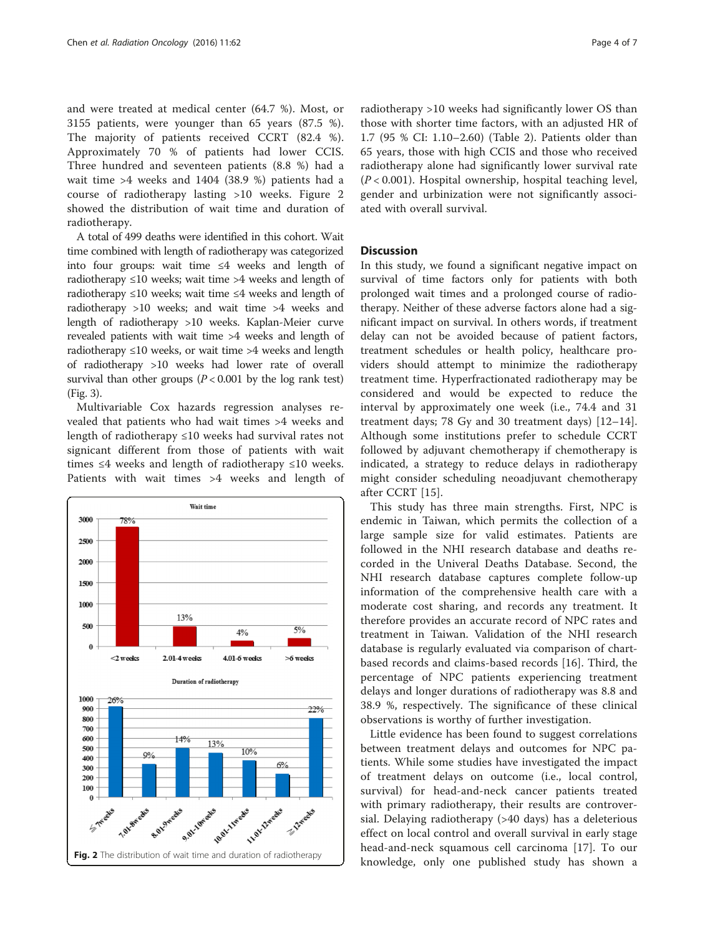and were treated at medical center (64.7 %). Most, or 3155 patients, were younger than 65 years (87.5 %). The majority of patients received CCRT (82.4 %). Approximately 70 % of patients had lower CCIS. Three hundred and seventeen patients (8.8 %) had a wait time >4 weeks and 1404 (38.9 %) patients had a course of radiotherapy lasting >10 weeks. Figure 2 showed the distribution of wait time and duration of radiotherapy.

A total of 499 deaths were identified in this cohort. Wait time combined with length of radiotherapy was categorized into four groups: wait time ≤4 weeks and length of radiotherapy  $\leq 10$  weeks; wait time >4 weeks and length of radiotherapy ≤10 weeks; wait time ≤4 weeks and length of radiotherapy >10 weeks; and wait time >4 weeks and length of radiotherapy >10 weeks. Kaplan-Meier curve revealed patients with wait time >4 weeks and length of radiotherapy  $\leq 10$  weeks, or wait time >4 weeks and length of radiotherapy >10 weeks had lower rate of overall survival than other groups ( $P < 0.001$  by the log rank test) (Fig. [3\)](#page-4-0).

Multivariable Cox hazards regression analyses revealed that patients who had wait times >4 weeks and length of radiotherapy ≤10 weeks had survival rates not signicant different from those of patients with wait times  $\leq 4$  weeks and length of radiotherapy  $\leq 10$  weeks. Patients with wait times >4 weeks and length of



radiotherapy >10 weeks had significantly lower OS than those with shorter time factors, with an adjusted HR of 1.7 (95 % CI: 1.10–2.60) (Table [2\)](#page-5-0). Patients older than 65 years, those with high CCIS and those who received radiotherapy alone had significantly lower survival rate  $(P < 0.001)$ . Hospital ownership, hospital teaching level, gender and urbinization were not significantly associated with overall survival.

# **Discussion**

In this study, we found a significant negative impact on survival of time factors only for patients with both prolonged wait times and a prolonged course of radiotherapy. Neither of these adverse factors alone had a significant impact on survival. In others words, if treatment delay can not be avoided because of patient factors, treatment schedules or health policy, healthcare providers should attempt to minimize the radiotherapy treatment time. Hyperfractionated radiotherapy may be considered and would be expected to reduce the interval by approximately one week (i.e., 74.4 and 31 treatment days; 78 Gy and 30 treatment days) [\[12](#page-6-0)–[14](#page-6-0)]. Although some institutions prefer to schedule CCRT followed by adjuvant chemotherapy if chemotherapy is indicated, a strategy to reduce delays in radiotherapy might consider scheduling neoadjuvant chemotherapy after CCRT [[15\]](#page-6-0).

This study has three main strengths. First, NPC is endemic in Taiwan, which permits the collection of a large sample size for valid estimates. Patients are followed in the NHI research database and deaths recorded in the Univeral Deaths Database. Second, the NHI research database captures complete follow-up information of the comprehensive health care with a moderate cost sharing, and records any treatment. It therefore provides an accurate record of NPC rates and treatment in Taiwan. Validation of the NHI research database is regularly evaluated via comparison of chartbased records and claims-based records [[16\]](#page-6-0). Third, the percentage of NPC patients experiencing treatment delays and longer durations of radiotherapy was 8.8 and 38.9 %, respectively. The significance of these clinical observations is worthy of further investigation.

Little evidence has been found to suggest correlations between treatment delays and outcomes for NPC patients. While some studies have investigated the impact of treatment delays on outcome (i.e., local control, survival) for head-and-neck cancer patients treated with primary radiotherapy, their results are controversial. Delaying radiotherapy (>40 days) has a deleterious effect on local control and overall survival in early stage head-and-neck squamous cell carcinoma [[17\]](#page-6-0). To our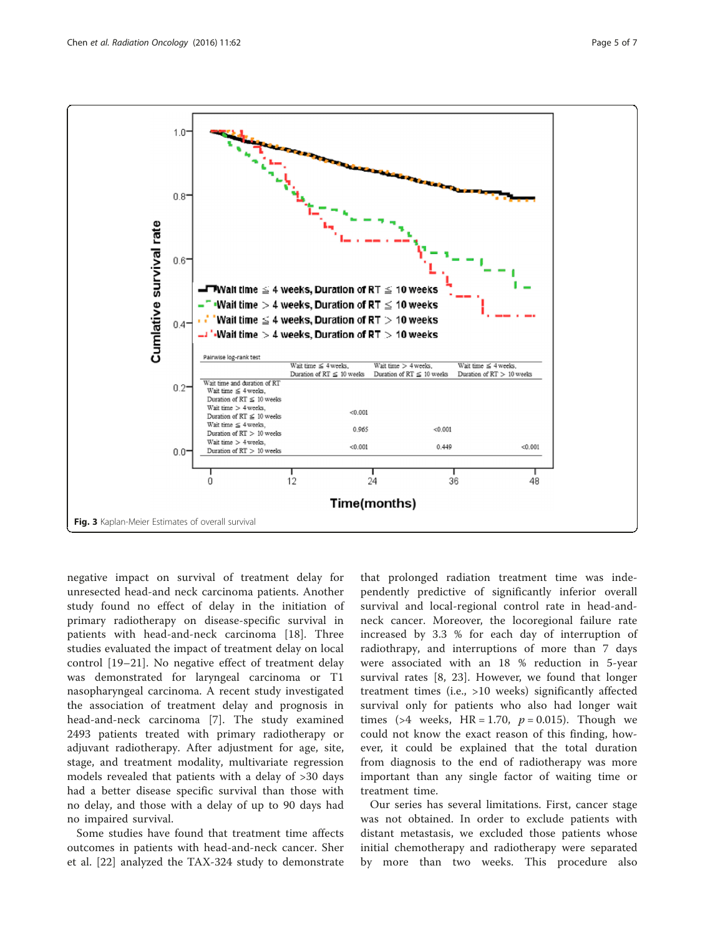<span id="page-4-0"></span>

negative impact on survival of treatment delay for unresected head-and neck carcinoma patients. Another study found no effect of delay in the initiation of primary radiotherapy on disease-specific survival in patients with head-and-neck carcinoma [[18\]](#page-6-0). Three studies evaluated the impact of treatment delay on local control [\[19](#page-6-0)–[21](#page-6-0)]. No negative effect of treatment delay was demonstrated for laryngeal carcinoma or T1 nasopharyngeal carcinoma. A recent study investigated the association of treatment delay and prognosis in head-and-neck carcinoma [[7\]](#page-6-0). The study examined 2493 patients treated with primary radiotherapy or adjuvant radiotherapy. After adjustment for age, site, stage, and treatment modality, multivariate regression models revealed that patients with a delay of >30 days had a better disease specific survival than those with no delay, and those with a delay of up to 90 days had no impaired survival.

Some studies have found that treatment time affects outcomes in patients with head-and-neck cancer. Sher et al. [[22\]](#page-6-0) analyzed the TAX-324 study to demonstrate

that prolonged radiation treatment time was independently predictive of significantly inferior overall survival and local-regional control rate in head-andneck cancer. Moreover, the locoregional failure rate increased by 3.3 % for each day of interruption of radiothrapy, and interruptions of more than 7 days were associated with an 18 % reduction in 5-year survival rates [[8, 23\]](#page-6-0). However, we found that longer treatment times (i.e., >10 weeks) significantly affected survival only for patients who also had longer wait times (>4 weeks, HR = 1.70,  $p = 0.015$ ). Though we could not know the exact reason of this finding, however, it could be explained that the total duration from diagnosis to the end of radiotherapy was more important than any single factor of waiting time or treatment time.

Our series has several limitations. First, cancer stage was not obtained. In order to exclude patients with distant metastasis, we excluded those patients whose initial chemotherapy and radiotherapy were separated by more than two weeks. This procedure also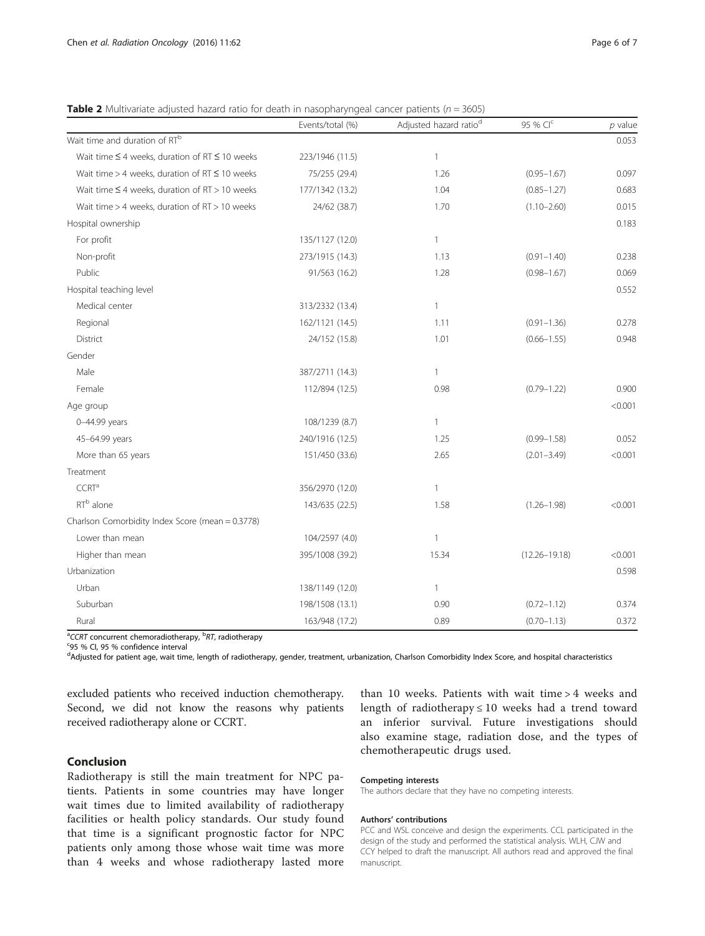<span id="page-5-0"></span>**Table 2** Multivariate adjusted hazard ratio for death in nasopharyngeal cancer patients ( $n = 3605$ )

|                                                          | Events/total (%) | Adjusted hazard ratio <sup>d</sup> | 95 % CIC          | $p$ value |
|----------------------------------------------------------|------------------|------------------------------------|-------------------|-----------|
| Wait time and duration of RT <sup>b</sup>                |                  |                                    |                   | 0.053     |
| Wait time $\leq 4$ weeks, duration of RT $\leq 10$ weeks | 223/1946 (11.5)  | $\mathbf{1}$                       |                   |           |
| Wait time $>$ 4 weeks, duration of RT $\leq$ 10 weeks    | 75/255 (29.4)    | 1.26                               | $(0.95 - 1.67)$   | 0.097     |
| Wait time $\leq$ 4 weeks, duration of RT > 10 weeks      | 177/1342 (13.2)  | 1.04                               | $(0.85 - 1.27)$   | 0.683     |
| Wait time > 4 weeks, duration of RT > 10 weeks           | 24/62 (38.7)     | 1.70                               | $(1.10 - 2.60)$   | 0.015     |
| Hospital ownership                                       |                  |                                    |                   | 0.183     |
| For profit                                               | 135/1127 (12.0)  | 1                                  |                   |           |
| Non-profit                                               | 273/1915 (14.3)  | 1.13                               | $(0.91 - 1.40)$   | 0.238     |
| Public                                                   | 91/563 (16.2)    | 1.28                               | $(0.98 - 1.67)$   | 0.069     |
| Hospital teaching level                                  |                  |                                    |                   | 0.552     |
| Medical center                                           | 313/2332 (13.4)  | 1                                  |                   |           |
| Regional                                                 | 162/1121 (14.5)  | 1.11                               | $(0.91 - 1.36)$   | 0.278     |
| <b>District</b>                                          | 24/152 (15.8)    | 1.01                               | $(0.66 - 1.55)$   | 0.948     |
| Gender                                                   |                  |                                    |                   |           |
| Male                                                     | 387/2711 (14.3)  | $\mathbf{1}$                       |                   |           |
| Female                                                   | 112/894 (12.5)   | 0.98                               | $(0.79 - 1.22)$   | 0.900     |
| Age group                                                |                  |                                    |                   | < 0.001   |
| 0-44.99 years                                            | 108/1239 (8.7)   | 1                                  |                   |           |
| 45-64.99 years                                           | 240/1916 (12.5)  | 1.25                               | $(0.99 - 1.58)$   | 0.052     |
| More than 65 years                                       | 151/450 (33.6)   | 2.65                               | $(2.01 - 3.49)$   | < 0.001   |
| Treatment                                                |                  |                                    |                   |           |
| CCRT <sup>a</sup>                                        | 356/2970 (12.0)  | 1                                  |                   |           |
| RT <sup>b</sup> alone                                    | 143/635 (22.5)   | 1.58                               | $(1.26 - 1.98)$   | < 0.001   |
| Charlson Comorbidity Index Score (mean = 0.3778)         |                  |                                    |                   |           |
| Lower than mean                                          | 104/2597 (4.0)   | 1                                  |                   |           |
| Higher than mean                                         | 395/1008 (39.2)  | 15.34                              | $(12.26 - 19.18)$ | < 0.001   |
| Urbanization                                             |                  |                                    |                   | 0.598     |
| Urban                                                    | 138/1149 (12.0)  | 1                                  |                   |           |
| Suburban                                                 | 198/1508 (13.1)  | 0.90                               | $(0.72 - 1.12)$   | 0.374     |
| Rural                                                    | 163/948 (17.2)   | 0.89                               | $(0.70 - 1.13)$   | 0.372     |

<sup>a</sup>CCRT concurrent chemoradiotherapy, <sup>b</sup>RT, radiotherapy<br>S95.86 CL 95.86 confidence intental

95 % CI, 95 % confidence interval

d<br>Adjusted for patient age, wait time, length of radiotherapy, gender, treatment, urbanization, Charlson Comorbidity Index Score, and hospital characteristics

excluded patients who received induction chemotherapy. Second, we did not know the reasons why patients received radiotherapy alone or CCRT.

# Conclusion

Radiotherapy is still the main treatment for NPC patients. Patients in some countries may have longer wait times due to limited availability of radiotherapy facilities or health policy standards. Our study found that time is a significant prognostic factor for NPC patients only among those whose wait time was more than 4 weeks and whose radiotherapy lasted more

than 10 weeks. Patients with wait time > 4 weeks and length of radiotherapy  $\leq 10$  weeks had a trend toward an inferior survival. Future investigations should also examine stage, radiation dose, and the types of chemotherapeutic drugs used.

## Competing interests

The authors declare that they have no competing interests.

### Authors' contributions

PCC and WSL conceive and design the experiments. CCL participated in the design of the study and performed the statistical analysis. WLH, CJW and CCY helped to draft the manuscript. All authors read and approved the final manuscript.